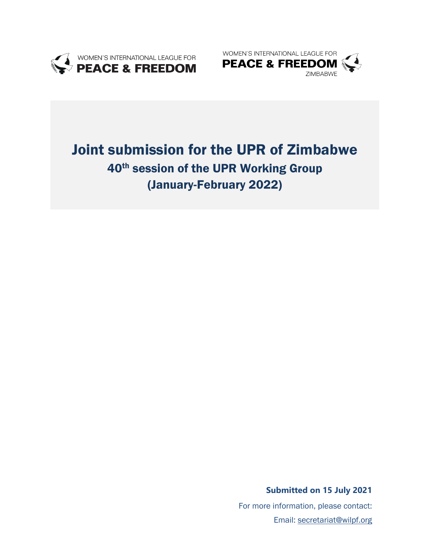



# Joint submission for the UPR of Zimbabwe 40<sup>th</sup> session of the UPR Working Group (January-February 2022)

**Submitted on 15 July 2021**

For more information, please contact: Email: secretariat@wilpf.org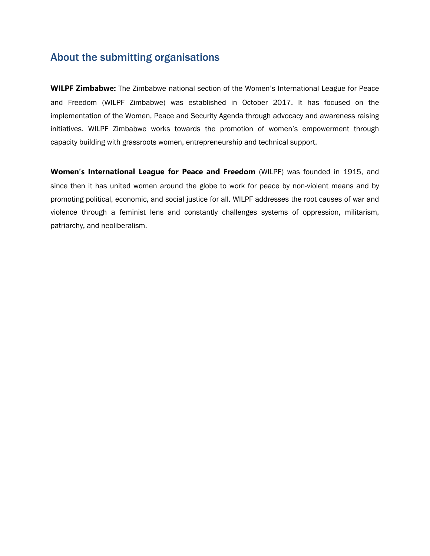### About the submitting organisations

**WILPF Zimbabwe:** The Zimbabwe national section of the Women'<sup>s</sup> International League for Peace and Freedom (WILPF Zimbabwe) was established in October 2017. It has focused on the implementation of the Women, Peace and Security Agenda through advocacy and awareness raising initiatives. WILPF Zimbabwe works towards the promotion of women'<sup>s</sup> empowerment through capacity building with grassroots women, entrepreneurship and technical support.

**Women'<sup>s</sup> International League for Peace and Freedom** (WILPF) was founded in 1915, and since then it has united women around the globe to work for peace by non-violent means and by promoting political, economic, and social justice for all. WILPF addresses the root causes of war and violence through <sup>a</sup> feminist lens and constantly challenges systems of oppression, militarism, patriarchy, and neoliberalism.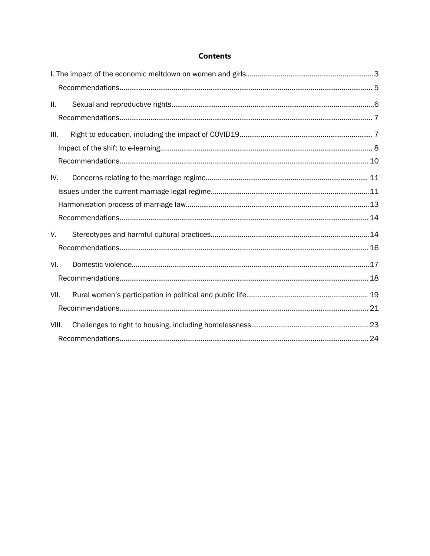#### **Contents**

| Ⅱ.    |  |  |
|-------|--|--|
|       |  |  |
| III.  |  |  |
|       |  |  |
|       |  |  |
| IV.   |  |  |
|       |  |  |
|       |  |  |
|       |  |  |
| V.    |  |  |
|       |  |  |
| VI.   |  |  |
|       |  |  |
| VII.  |  |  |
|       |  |  |
| VIII. |  |  |
|       |  |  |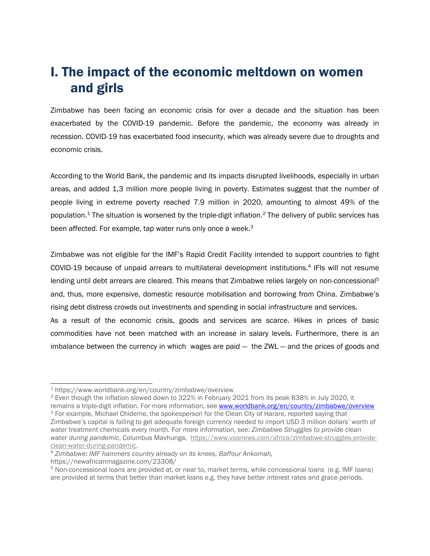### <span id="page-3-0"></span>I. The impact of the economic meltdown on women and girls

Zimbabwe has been facing an economic crisis for over <sup>a</sup> decade and the situation has been exacerbated by the COVID-19 pandemic. Before the pandemic, the economy was already in recession. COVID-19 has exacerbated food insecurity, which was already severe due to droughts and economic crisis.

According to the World Bank, the pandemic and its impacts disrupted livelihoods, especially in urban areas, and added 1,3 million more people living in poverty. Estimates suggest that the number of people living in extreme poverty reached 7.9 million in 2020, amounting to almost 49% of the population. $^{\rm 1}$  The situation is worsened by the triple-digit inflation. $^{\rm 2}$  The delivery of public services has been affected. For example, tap water runs only once a week.<sup>3</sup>

Zimbabwe was not eligible for the IMF'<sup>s</sup> Rapid Credit Facility intended to support countries to fight COVID-19 because of unpaid arrears to multilateral development institutions.<sup>4</sup> IFIs will not resume lending until debt arrears are cleared. This means that Zimbabwe relies largely on non-concessional<sup>5</sup> and, thus, more expensive, domestic resource mobilisation and borrowing from China. Zimbabwe'<sup>s</sup> rising debt distress crowds out investments and spending in social infrastructure and services.

As <sup>a</sup> result of the economic crisis, goods and services are scarce. Hikes in prices of basic commodities have not been matched with an increase in salary levels. Furthermore, there is an imbalance between the currency in which wages are paid  $-$  the ZWL  $-$  and the prices of goods and

2 Even though the inflation slowed down to 322% in February 2021 from its peak 838% in July 2020, it remains <sup>a</sup> triple-digit inflation. For more information, see [www.worldbank.org/en/country/zimbabwe/overview](http://www.worldbank.org/en/country/zimbabwe/overview) <sup>3</sup> For example, Michael Chideme, the spokesperson for the Clean City of Harare, reported saying that Zimbabwe'<sup>s</sup> capital is failing to get adequate foreign currency needed to import USD 3 million dollars' worth of

<sup>1</sup> <https://www.worldbank.org/en/country/zimbabwe/overview>

water treatment chemicals every month. For more information, see: *Zimbabwe Struggles to provide clean water during pandemic*, Columbus Mavhunga, [https://www.voanews.com/africa/zimbabwe-struggles-provide](https://www.voanews.com/africa/zimbabwe-struggles-provide-clean-water-during-pandemic)[clean-water-during-pandemic](https://www.voanews.com/africa/zimbabwe-struggles-provide-clean-water-during-pandemic).

<sup>4</sup> *Zimbabwe: IMF hammers country already on its knees, Baffour Ankomah,*

https://newafricanmagazine.com/23308/

<sup>5</sup> Non-concessional loans are provided at, or near to, market terms, while concessional loans (e.g. IMF loans) are provided at terms that better than market loans e.g. they have better interest rates and grace periods.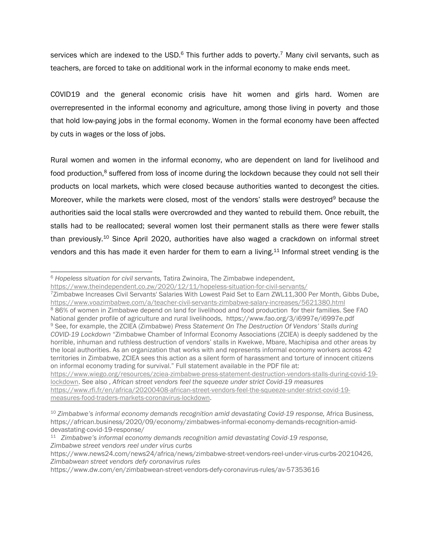services which are indexed to the USD. $^6$  This further adds to poverty.<sup>7</sup> Many civil servants, such as teachers, are forced to take on additional work in the informal economy to make ends meet.

COVID19 and the general economic crisis have hit women and girls hard. Women are overrepresented in the informal economy and agriculture, among those living in poverty and those that hold low-paying jobs in the formal economy. Women in the formal economy have been affected by cuts in wages or the loss of jobs.

Rural women and women in the informal economy, who are dependent on land for livelihood and food production,<sup>8</sup> suffered from loss of income during the lockdown because they could not sell their products on local markets, which were closed because authorities wanted to decongest the cities. Moreover, while the markets were closed, most of the vendors' stalls were destroyed<sup>9</sup> because the authorities said the local stalls were overcrowded and they wanted to rebuild them. Once rebuilt, the stalls had to be reallocated; several women lost their permanent stalls as there were fewer stalls than previously.<sup>10</sup> Since April 2020, authorities have also waged a crackdown on informal street vendors and this has made it even harder for them to earn a living.<sup>11</sup> Informal street vending is the

<sup>7</sup>Zimbabwe Increases Civil Servants' Salaries With Lowest Paid Set to Earn ZWL11,300 Per Month, Gibbs Dube, <https://www.voazimbabwe.com/a/teacher-civil-servants-zimbabwe-salary-increases/5621380.html> 8 86% of women in Zimbabwe depend on land for livelihood and food production for their families. See FAO National gender profile of agriculture and rural livelihoods, <https://www.fao.org/3/i6997e/i6997e.pdf> 9 See, for example, the ZCIEA (Zimbabwe) *Press Statement On The Destruction Of Vendors' Stalls during COVID-19 Lockdown* "Zimbabwe Chamber of Informal Economy Associations (ZCIEA) is deeply saddened by the horrible, inhuman and ruthless destruction of vendors' stalls in Kwekwe, Mbare, Machipisa and other areas by the local authorities. As an organization that works with and represents informal economy workers across 42 territories in Zimbabwe, ZCIEA sees this action as <sup>a</sup> silent form of harassment and torture of innocent citizens on informal economy trading for survival." Full statement available in the PDF file at: [https://www.wiego.org/resources/zciea-zimbabwe-press-statement-destruction-vendors-stalls-during-covid-19](https://www.wiego.org/resources/zciea-zimbabwe-press-statement-destruction-vendors-stalls-during-covid-19-lockdown) [lockdown](https://www.wiego.org/resources/zciea-zimbabwe-press-statement-destruction-vendors-stalls-during-covid-19-lockdown). See also , *African street vendors feel the squeeze under strict Covid-19 measures* [https://www.rfi.fr/en/africa/20200408-african-street-vendors-feel-the-squeeze-under-strict-covid-19-](https://www.rfi.fr/en/africa/20200408-african-street-vendors-feel-the-squeeze-under-strict-covid-19-measures-food-traders-markets-coronavirus-lockdown)

<sup>6</sup> *Hopeless situation for civil servants,* Tatira Zwinoira, The Zimbabwe independent,

<https://www.theindependent.co.zw/2020/12/11/hopeless-situation-for-civil-servants/>

[measures-food-traders-markets-coronavirus-lockdown](https://www.rfi.fr/en/africa/20200408-african-street-vendors-feel-the-squeeze-under-strict-covid-19-measures-food-traders-markets-coronavirus-lockdown).

<sup>10</sup> *Zimbabwe'<sup>s</sup> informal economy demands recognition amid devastating Covid-19 response,* Africa Business, [https://african.business/2020/09/economy/zimbabwes-informal-economy-demands-recognition-amid](https://african.business/2020/09/economy/zimbabwes-informal-economy-demands-recognition-amid-devastating-covid-19-response/)[devastating-covid-19-response/](https://african.business/2020/09/economy/zimbabwes-informal-economy-demands-recognition-amid-devastating-covid-19-response/)

<sup>11</sup> *Zimbabwe'<sup>s</sup> informal economy demands recognition amid devastating Covid-19 response, Zimbabwe street vendors reel under virus curbs*

<https://www.news24.com/news24/africa/news/zimbabwe-street-vendors-reel-under-virus-curbs-20210426>, *Zimbabwean street vendors defy coronavirus rules*

<https://www.dw.com/en/zimbabwean-street-vendors-defy-coronavirus-rules/av-57353616>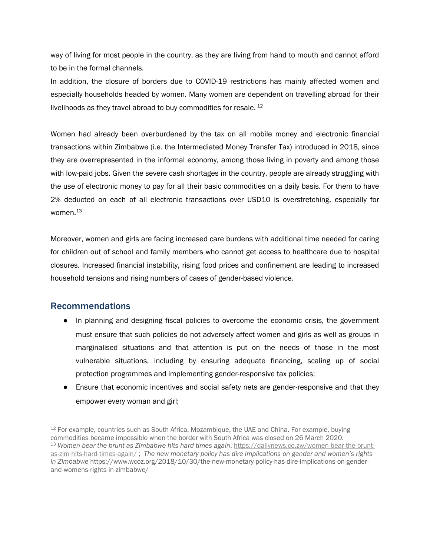<span id="page-5-0"></span>way of living for most people in the country, as they are living from hand to mouth and cannot afford to be in the formal channels.

In addition, the closure of borders due to COVID-19 restrictions has mainly affected women and especially households headed by women. Many women are dependent on travelling abroad for their livelihoods as they travel abroad to buy commodities for resale. <sup>12</sup>

Women had already been overburdened by the tax on all mobile money and electronic financial transactions within Zimbabwe (i.e. the Intermediated Money Transfer Tax) introduced in 2018, since they are overrepresented in the informal economy, among those living in poverty and among those with low-paid jobs. Given the severe cash shortages in the country, people are already struggling with the use of electronic money to pay for all their basic commodities on <sup>a</sup> daily basis. For them to have 2% deducted on each of all electronic transactions over USD10 is overstretching, especially for women.<sup>13</sup>

Moreover, women and girls are facing increased care burdens with additional time needed for caring for children out of school and family members who cannot get access to healthcare due to hospital closures. Increased financial instability, rising food prices and confinement are leading to increased household tensions and rising numbers of cases of gender-based violence.

### Recommendations

- In planning and designing fiscal policies to overcome the economic crisis, the government must ensure that such policies do not adversely affect women and girls as well as groups in marginalised situations and that attention is put on the needs of those in the most vulnerable situations, including by ensuring adequate financing, scaling up of social protection programmes and implementing gender-responsive tax policies;
- Ensure that economic incentives and social safety nets are gender-responsive and that they empower every woman and girl;

 $^{12}$  For example, countries such as South Africa, Mozambique, the UAE and China. For example, buying commodities became impossible when the border with South Africa was closed on 26 March 2020. <sup>13</sup> *Women bear the brunt as Zimbabwe hits hard times again*, [https://dailynews.co.zw/women-bear-the-brunt](https://dailynews.co.zw/women-bear-the-brunt-as-zim-hits-hard-times-again/)[as-zim-hits-hard-times-again/](https://dailynews.co.zw/women-bear-the-brunt-as-zim-hits-hard-times-again/) ; *The new monetary policy has dire implications on gender and women'<sup>s</sup> rights in Zimbabwe* [https://www.wcoz.org/2018/10/30/the-new-monetary-policy-has-dire-implications-on-gender](https://www.wcoz.org/2018/10/30/the-new-monetary-policy-has-dire-implications-on-gender-and-womens-rights-in-zimbabwe/)[and-womens-rights-in-zimbabwe/](https://www.wcoz.org/2018/10/30/the-new-monetary-policy-has-dire-implications-on-gender-and-womens-rights-in-zimbabwe/)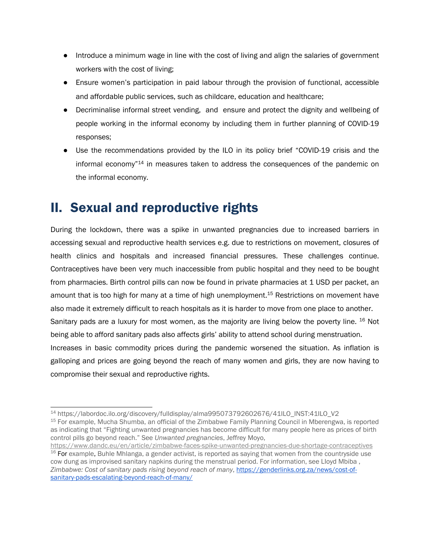- <span id="page-6-0"></span>● Introduce <sup>a</sup> minimum wage in line with the cost of living and align the salaries of government workers with the cost of living;
- Ensure women'<sup>s</sup> participation in paid labour through the provision of functional, accessible and affordable public services, such as childcare, education and healthcare;
- Decriminalise informal street vending, and ensure and protect the dignity and wellbeing of people working in the informal economy by including them in further planning of COVID-19 responses;
- Use the recommendations provided by the ILO in its policy brief "COVID-19 crisis and the informal economy"<sup>14</sup> in measures taken to address the consequences of the pandemic on the informal economy.

## II. Sexual and reproductive rights

During the lockdown, there was <sup>a</sup> spike in unwanted pregnancies due to increased barriers in accessing sexual and reproductive health services e.g. due to restrictions on movement, closures of health clinics and hospitals and increased financial pressures. These challenges continue. Contraceptives have been very much inaccessible from public hospital and they need to be bought from pharmacies. Birth control pills can now be found in private pharmacies at 1 USD per packet, an amount that is too high for many at a time of high unemployment.<sup>15</sup> Restrictions on movement have also made it extremely difficult to reach hospitals as it is harder to move from one place to another. Sanitary pads are a luxury for most women, as the majority are living below the poverty line. <sup>16</sup> Not being able to afford sanitary pads also affects girls' ability to attend school during menstruation. Increases in basic commodity prices during the pandemic worsened the situation. As inflation is galloping and prices are going beyond the reach of many women and girls, they are now having to compromise their sexual and reproductive rights.

<sup>14</sup> [https://labordoc.ilo.org/discovery/fulldisplay/alma995073792602676/41ILO\\_INST:41ILO\\_V2](https://labordoc.ilo.org/discovery/fulldisplay/alma995073792602676/41ILO_INST:41ILO_V2)

<sup>&</sup>lt;sup>15</sup> For example, Mucha Shumba, an official of the Zimbabwe Family Planning Council in Mberengwa, is reported as indicating that "Fighting unwanted pregnancies has become difficult for many people here as prices of birth control pills go beyond reach." See *Unwanted pregnancies*, Jeffrey Moyo,

<https://www.dandc.eu/en/article/zimbabwe-faces-spike-unwanted-pregnancies-due-shortage-contraceptives>  $^{16}$  For example, Buhle Mhlanga, a gender activist, is reported as saying that women from the countryside use cow dung as improvised sanitary napkins during the menstrual period. For information, see LIoyd Mbiba , *Zimbabwe: Cost of sanitary pads rising beyond reach of many*, [https://genderlinks.org.za/news/cost-of](https://genderlinks.org.za/news/cost-of-sanitary-pads-escalating-beyond-reach-of-many/)[sanitary-pads-escalating-beyond-reach-of-many/](https://genderlinks.org.za/news/cost-of-sanitary-pads-escalating-beyond-reach-of-many/)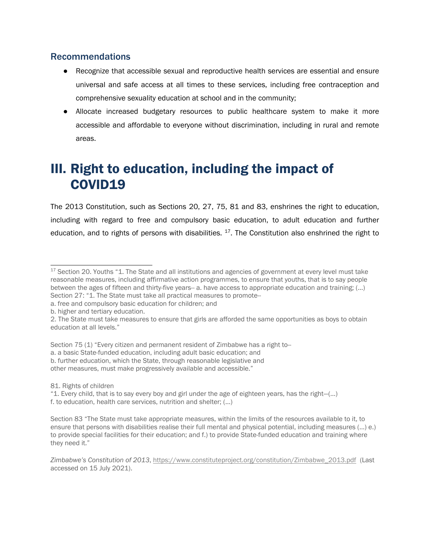### <span id="page-7-0"></span>Recommendations

- Recognize that accessible sexual and reproductive health services are essential and ensure universal and safe access at all times to these services, including free contraception and comprehensive sexuality education at school and in the community;
- Allocate increased budgetary resources to public healthcare system to make it more accessible and affordable to everyone without discrimination, including in rural and remote areas.

## III. Right to education, including the impact of COVID19

The 2013 Constitution, such as Sections 20, 27, 75, 81 and 83, enshrines the right to education, including with regard to free and compulsory basic education, to adult education and further education, and to rights of persons with disabilities. <sup>17</sup>. The Constitution also enshrined the right to

b. higher and tertiary education.

- Section 75 (1) "Every citizen and permanent resident of Zimbabwe has <sup>a</sup> right to--
- a. <sup>a</sup> basic State-funded education, including adult basic education; and
- b. further education, which the State, through reasonable legislative and
- other measures, must make progressively available and accessible."
- 81. Rights of children
- "1. Every child, that is to say every boy and girl under the age of eighteen years, has the right—(…) f. to education, health care services, nutrition and shelter; (…)

<sup>&</sup>lt;sup>17</sup> Section 20. Youths "1. The State and all institutions and agencies of government at every level must take reasonable measures, including affirmative action programmes, to ensure that youths, that is to say people between the ages of fifteen and thirty-five years-- a. have access to appropriate education and training; (...) Section 27: "1. The State must take all practical measures to promote--

a. free and compulsory basic education for children; and

<sup>2.</sup> The State must take measures to ensure that girls are afforded the same opportunities as boys to obtain education at all levels."

Section 83 "The State must take appropriate measures, within the limits of the resources available to it, to ensure that persons with disabilities realise their full mental and physical potential, including measures (…) e.) to provide special facilities for their education; and f.) to provide State-funded education and training where they need it."

*Zimbabwe'<sup>s</sup> Constitution of 2013*, [https://www.constituteproject.org/constitution/Zimbabwe\\_2013.pdf](https://www.constituteproject.org/constitution/Zimbabwe_2013.pdf) (Last accessed on 15 July 2021).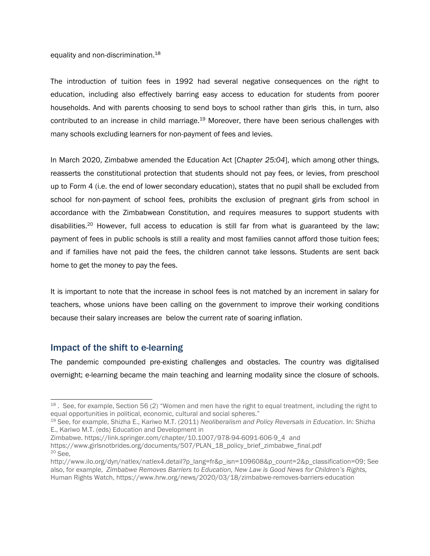#### <span id="page-8-0"></span>equality and non-discrimination.<sup>18</sup>

The introduction of tuition fees in 1992 had several negative consequences on the right to education, including also effectively barring easy access to education for students from poorer households. And with parents choosing to send boys to school rather than girls this, in turn, also contributed to an increase in child marriage.<sup>19</sup> Moreover, there have been serious challenges with many schools excluding learners for non-payment of fees and levies.

In March 2020, Zimbabwe amended the Education Act [*Chapter 25:04*], which among other things, reasserts the constitutional protection that students should not pay fees, or levies, from preschool up to Form 4 (i.e. the end of lower secondary education), states that no pupil shall be excluded from school for non-payment of school fees, prohibits the exclusion of pregnant girls from school in accordance with the Zimbabwean Constitution, and requires measures to support students with disabilities.<sup>20</sup> However, full access to education is still far from what is guaranteed by the law; payment of fees in public schools is still <sup>a</sup> reality and most families cannot afford those tuition fees; and if families have not paid the fees, the children cannot take lessons. Students are sent back home to get the money to pay the fees.

It is important to note that the increase in school fees is not matched by an increment in salary for teachers, whose unions have been calling on the government to improve their working conditions because their salary increases are below the current rate of soaring inflation.

#### Impact of the shift to e-learning

The pandemic compounded pre-existing challenges and obstacles. The country was digitalised overnight; e-learning became the main teaching and learning modality since the closure of schools.

 $^{18}$  . See, for example, Section 56 (2) "Women and men have the right to equal treatment, including the right to equal opportunities in political, economic, cultural and social spheres."

<sup>19</sup> See, for example, Shizha E., Kariwo M.T. (2011) *Neoliberalism and Policy Reversals in Education*. In: Shizha E., Kariwo M.T. (eds) Education and Development in

Zimbabwe. [https://link.springer.com/chapter/10.1007/978-94-6091-606-9\\_4](https://link.springer.com/chapter/10.1007/978-94-6091-606-9_4) and [https://www.girlsnotbrides.org/documents/507/PLAN\\_18\\_policy\\_brief\\_zimbabwe\\_final.pdf](https://www.girlsnotbrides.org/documents/507/PLAN_18_policy_brief_zimbabwe_final.pdf) 20 See,

[http://www.ilo.org/dyn/natlex/natlex4.detail?p\\_lang=fr&p\\_isn=109608&p\\_count=2&p\\_classification=09](http://www.ilo.org/dyn/natlex/natlex4.detail?p_lang=fr&p_isn=109608&p_count=2&p_classification=09); See also, for example, *Zimbabwe Removes Barriers to Education, New Law is Good News for Children'<sup>s</sup> Rights,* Human Rights Watch, <https://www.hrw.org/news/2020/03/18/zimbabwe-removes-barriers-education>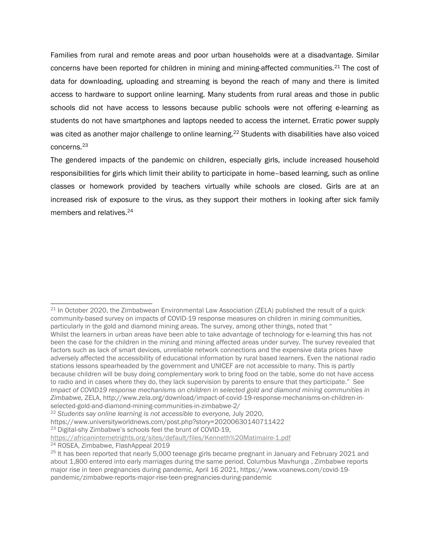Families from rural and remote areas and poor urban households were at <sup>a</sup> disadvantage. Similar concerns have been reported for children in mining and mining-affected communities.<sup>21</sup> The cost of data for downloading, uploading and streaming is beyond the reach of many and there is limited access to hardware to support online learning. Many students from rural areas and those in public schools did not have access to lessons because public schools were not offering e-learning as students do not have smartphones and laptops needed to access the internet. Erratic power supply was cited as another major challenge to online learning.<sup>22</sup> Students with disabilities have also voiced concerns. 23

The gendered impacts of the pandemic on children, especially girls, include increased household responsibilities for girls which limit their ability to participate in home–based learning, such as online classes or homework provided by teachers virtually while schools are closed. Girls are at an increased risk of exposure to the virus, as they support their mothers in looking after sick family members and relatives.<sup>24</sup>

 $^{21}$  In October 2020, the Zimbabwean Environmental Law Association (ZELA) published the result of a quick community-based survey on impacts of COVID-19 response measures on children in mining communities, particularly in the gold and diamond mining areas. The survey, among other things, noted that " Whilst the learners in urban areas have been able to take advantage of technology for e-learning this has not been the case for the children in the mining and mining affected areas under survey. The survey revealed that factors such as lack of smart devices, unreliable network connections and the expensive data prices have adversely affected the accessibility of educational information by rural based learners. Even the national radio stations lessons spearheaded by the government and UNICEF are not accessible to many. This is partly because children will be busy doing complementary work to bring food on the table, some do not have access to radio and in cases where they do, they lack supervision by parents to ensure that they participate." See *Impact of COVID19 response mechanisms on children in selected gold and diamond mining communities in Zimbabwe,* ZELA, [http://www.zela.org/download/impact-of-covid-19-response-mechanisms-on-children-in](http://www.zela.org/download/impact-of-covid-19-response-mechanisms-on-children-in-selected-gold-and-diamond-mining-communities-in-zimbabwe-2/)[selected-gold-and-diamond-mining-communities-in-zimbabwe-2/](http://www.zela.org/download/impact-of-covid-19-response-mechanisms-on-children-in-selected-gold-and-diamond-mining-communities-in-zimbabwe-2/)

<sup>22</sup> *Students say online learning is not accessible to everyone,* July 2020,

<https://www.universityworldnews.com/post.php?story=20200630140711422>

<sup>&</sup>lt;sup>23</sup> Digital-shy Zimbabwe's schools feel the brunt of COVID-19,

<https://africaninternetrights.org/sites/default/files/Kenneth%20Matimaire-1.pdf>

<sup>&</sup>lt;sup>24</sup> ROSEA, Zimbabwe, FlashAppeal 2019

<sup>&</sup>lt;sup>25</sup> It has been reported that nearly 5,000 teenage girls became pregnant in January and February 2021 and about 1,800 entered into early marriages during the same period. Columbus Mavhunga , Zimbabwe reports major rise in teen pregnancies during pandemic, April 16 2021, https://www.voanews.com/covid-19 pandemic/zimbabwe-reports-major-rise-teen-pregnancies-during-pandemic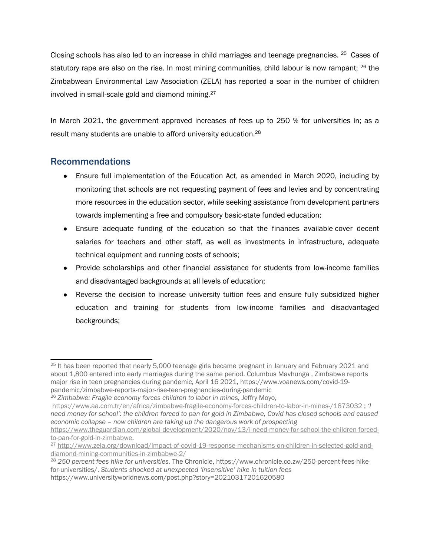<span id="page-10-0"></span>Closing schools has also led to an increase in child marriages and teenage pregnancies.  $^{25}$  Cases of statutory rape are also on the rise. In most mining communities, child labour is now rampant;  $^{26}$  the Zimbabwean Environmental Law Association (ZELA) has reported <sup>a</sup> soar in the number of children involved in small-scale gold and diamond mining.<sup>27</sup>

In March 2021, the government approved increases of fees up to 250 % for universities in; as <sup>a</sup> result many students are unable to afford university education.<sup>28</sup>

### Recommendations

- Ensure full implementation of the Education Act, as amended in March 2020, including by monitoring that schools are not requesting payment of fees and levies and by concentrating more resources in the education sector, while seeking assistance from development partners towards implementing <sup>a</sup> free and compulsory basic-state funded education;
- Ensure adequate funding of the education so that the finances available cover decent salaries for teachers and other staff, as well as investments in infrastructure, adequate technical equipment and running costs of schools;
- Provide scholarships and other financial assistance for students from low-income families and disadvantaged backgrounds at all levels of education;
- Reverse the decision to increase university tuition fees and ensure fully subsidized higher education and training for students from low-income families and disadvantaged backgrounds;

<sup>&</sup>lt;sup>25</sup> It has been reported that nearly 5,000 teenage girls became pregnant in January and February 2021 and about 1,800 entered into early marriages during the same period. Columbus Mavhunga , Zimbabwe reports major rise in teen pregnancies during pandemic, April 16 2021, https://www.voanews.com/covid-19 pandemic/zimbabwe-reports-major-rise-teen-pregnancies-during-pandemic

<sup>26</sup> *Zimbabwe: Fragile economy forces children to labor in mines,* Jeffry Moyo,

<https://www.aa.com.tr/en/africa/zimbabwe-fragile-economy-forces-children-to-labor-in-mines-/1873032> ; *'I* need money for school': the children forced to pan for gold in Zimbabwe, Covid has closed schools and caused *economic collapse – now children are taking up the dangerous work of prospecting*

[https://www.theguardian.com/global-development/2020/nov/13/i-need-money-for-school-the-children-forced](https://www.theguardian.com/global-development/2020/nov/13/i-need-money-for-school-the-children-forced-to-pan-for-gold-in-zimbabwe)[to-pan-for-gold-in-zimbabwe](https://www.theguardian.com/global-development/2020/nov/13/i-need-money-for-school-the-children-forced-to-pan-for-gold-in-zimbabwe).

<sup>27</sup> [http://www.zela.org/download/impact-of-covid-19-response-mechanisms-on-children-in-selected-gold-and](http://www.zela.org/download/impact-of-covid-19-response-mechanisms-on-children-in-selected-gold-and-diamond-mining-communities-in-zimbabwe-2/)[diamond-mining-communities-in-zimbabwe-2/](http://www.zela.org/download/impact-of-covid-19-response-mechanisms-on-children-in-selected-gold-and-diamond-mining-communities-in-zimbabwe-2/)

<sup>28</sup> *250 percent fees hike for universities.* The Chronicle, [https://www.chronicle.co.zw/250-percent-fees-hike](https://www.chronicle.co.zw/250-percent-fees-hike-for-universities/)[for-universities/](https://www.chronicle.co.zw/250-percent-fees-hike-for-universities/). *Students shocked at unexpected 'insensitive' hike in tuition fees* https://www.universityworldnews.com/post.php?story=20210317201620580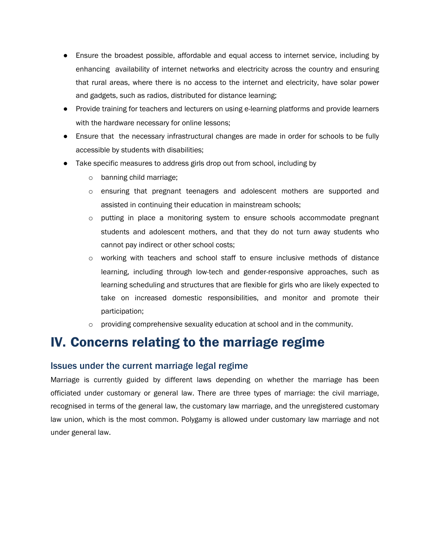- <span id="page-11-0"></span>● Ensure the broadest possible, affordable and equal access to internet service, including by enhancing availability of internet networks and electricity across the country and ensuring that rural areas, where there is no access to the internet and electricity, have solar power and gadgets, such as radios, distributed for distance learning;
- Provide training for teachers and lecturers on using e-learning platforms and provide learners with the hardware necessary for online lessons;
- Ensure that the necessary infrastructural changes are made in order for schools to be fully accessible by students with disabilities;
- Take specific measures to address girls drop out from school, including by
	- <sup>o</sup> banning child marriage;
	- <sup>o</sup> ensuring that pregnant teenagers and adolescent mothers are supported and assisted in continuing their education in mainstream schools;
	- <sup>o</sup> putting in place <sup>a</sup> monitoring system to ensure schools accommodate pregnant students and adolescent mothers, and that they do not turn away students who cannot pay indirect or other school costs;
	- <sup>o</sup> working with teachers and school staff to ensure inclusive methods of distance learning, including through low-tech and gender-responsive approaches, such as learning scheduling and structures that are flexible for girls who are likely expected to take on increased domestic responsibilities, and monitor and promote their participation;
	- $\circ$  providing comprehensive sexuality education at school and in the community.

### IV. Concerns relating to the marriage regime

#### Issues under the current marriage legal regime

Marriage is currently guided by different laws depending on whether the marriage has been officiated under customary or general law. There are three types of marriage: the civil marriage, recognised in terms of the general law, the customary law marriage, and the unregistered customary law union, which is the most common. Polygamy is allowed under customary law marriage and not under general law.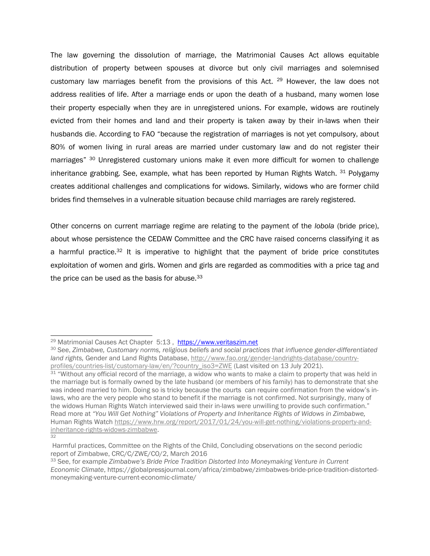The law governing the dissolution of marriage, the Matrimonial Causes Act allows equitable distribution of property between spouses at divorce but only civil marriages and solemnised customary law marriages benefit from the provisions of this Act. <sup>29</sup> However, the law does not address realities of life. After <sup>a</sup> marriage ends or upon the death of <sup>a</sup> husband, many women lose their property especially when they are in unregistered unions. For example, widows are routinely evicted from their homes and land and their property is taken away by their in-laws when their husbands die. According to FAO "because the registration of marriages is not yet compulsory, about 80% of women living in rural areas are married under customary law and do not register their marriages" <sup>30</sup> Unregistered customary unions make it even more difficult for women to challenge inheritance grabbing. See, example, what has been reported by Human Rights Watch. <sup>31</sup> Polygamy creates additional challenges and complications for widows. Similarly, widows who are former child brides find themselves in <sup>a</sup> vulnerable situation because child marriages are rarely registered.

Other concerns on current marriage regime are relating to the payment of the *lobola* (bride price), about whose persistence the CEDAW Committee and the CRC have raised concerns classifying it as a harmful practice.<sup>32</sup> It is imperative to highlight that the payment of bride price constitutes exploitation of women and girls. Women and girls are regarded as commodities with <sup>a</sup> price tag and the price can be used as the basis for abuse.<sup>33</sup>

32

<sup>&</sup>lt;sup>29</sup> Matrimonial Causes Act Chapter 5:13, <https://www.veritaszim.net>

<sup>30</sup> See, *Zimbabwe, Customary norms, religious beliefs and social practices that influence gender-differentiated land rights,* Gender and Land Rights Database, [http://www.fao.org/gender-landrights-database/country](http://www.fao.org/gender-landrights-database/country-profiles/countries-list/customary-law/en/?country_iso3=ZWE)[profiles/countries-list/customary-law/en/?country\\_iso3=ZWE](http://www.fao.org/gender-landrights-database/country-profiles/countries-list/customary-law/en/?country_iso3=ZWE) (Last visited on 13 July 2021).

<sup>&</sup>lt;sup>31</sup> "Without any official record of the marriage, a widow who wants to make a claim to property that was held in the marriage but is formally owned by the late husband (or members of his family) has to demonstrate that she was indeed married to him. Doing so is tricky because the courts can require confirmation from the widow'<sup>s</sup> inlaws, who are the very people who stand to benefit if the marriage is not confirmed. Not surprisingly, many of the widows Human Rights Watch interviewed said their in-laws were unwilling to provide such confirmation." Read more at *"You Will Get Nothing" Violations of Property and Inheritance Rights of Widows in Zimbabwe,* Human Rights Watch [https://www.hrw.org/report/2017/01/24/you-will-get-nothing/violations-property-and](https://www.hrw.org/report/2017/01/24/you-will-get-nothing/violations-property-and-inheritance-rights-widows-zimbabwe)[inheritance-rights-widows-zimbabwe](https://www.hrw.org/report/2017/01/24/you-will-get-nothing/violations-property-and-inheritance-rights-widows-zimbabwe).

Harmful practices, Committee on the Rights of the Child, Concluding observations on the second periodic report of Zimbabwe, CRC/C/ZWE/CO/2, March 2016

<sup>33</sup> See, for example *Zimbabwe'<sup>s</sup> Bride Price Tradition Distorted Into Moneymaking Venture in Current Economic Climate*, [https://globalpressjournal.com/africa/zimbabwe/zimbabwes-bride-price-tradition-distorted](https://globalpressjournal.com/africa/zimbabwe/zimbabwes-bride-price-tradition-distorted-moneymaking-venture-current-economic-climate/)[moneymaking-venture-current-economic-climate/](https://globalpressjournal.com/africa/zimbabwe/zimbabwes-bride-price-tradition-distorted-moneymaking-venture-current-economic-climate/)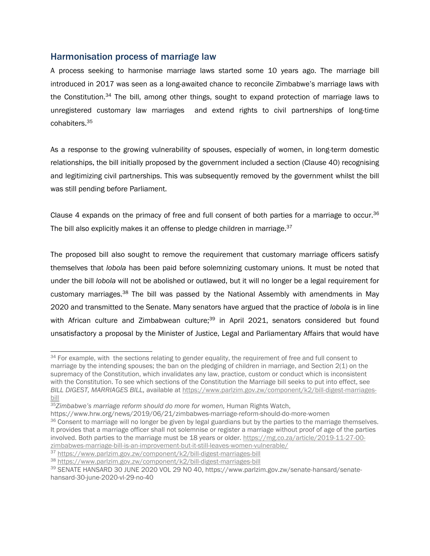#### <span id="page-13-0"></span>Harmonisation process of marriage law

A process seeking to harmonise marriage laws started some 10 years ago. The marriage bill introduced in 2017 was seen as <sup>a</sup> long-awaited chance to reconcile Zimbabwe'<sup>s</sup> marriage laws with the Constitution.<sup>34</sup> The bill, among other things, sought to expand protection of marriage laws to unregistered customary law marriages and extend rights to civil partnerships of long-time cohabiters.<sup>35</sup>

As <sup>a</sup> response to the growing vulnerability of spouses, especially of women, in long-term domestic relationships, the bill initially proposed by the government included <sup>a</sup> section (Clause 40) recognising and legitimizing civil partnerships. This was subsequently removed by the government whilst the bill was still pending before Parliament.

Clause 4 expands on the primacy of free and full consent of both parties for a marriage to occur.<sup>36</sup> The bill also explicitly makes it an offense to pledge children in marriage.<sup>37</sup>

The proposed bill also sought to remove the requirement that customary marriage officers satisfy themselves that *lobola* has been paid before solemnizing customary unions. It must be noted that under the bill *lobola* will not be abolished or outlawed, but it will no longer be <sup>a</sup> legal requirement for customary marriages.<sup>38</sup> The bill was passed by the National Assembly with amendments in May 2020 and transmitted to the Senate. Many senators have argued that the practice of *lobola* is in line with African culture and Zimbabwean culture;<sup>39</sup> in April 2021, senators considered but found unsatisfactory <sup>a</sup> proposal by the Minister of Justice, Legal and Parliamentary Affairs that would have

<sup>&</sup>lt;sup>34</sup> For example, with the sections relating to gender equality, the requirement of free and full consent to marriage by the intending spouses; the ban on the pledging of children in marriage, and Section 2(1) on the supremacy of the Constitution, which invalidates any law, practice, custom or conduct which is inconsistent with the Constitution. To see which sections of the Constitution the Marriage bill seeks to put into effect, see *BILL DIGEST, MARRIAGES BILL,* available at [https://www.parlzim.gov.zw/component/k2/bill-digest-marriages](https://www.parlzim.gov.zw/component/k2/bill-digest-marriages-bill)[bill](https://www.parlzim.gov.zw/component/k2/bill-digest-marriages-bill)

<sup>35</sup> *Zimbabwe'<sup>s</sup> marriage reform should do more for women,* Human Rights Watch,

https://www.hrw.org/news/2019/06/21/zimbabwes-marriage-reform-should-do-more-women

<sup>&</sup>lt;sup>36</sup> Consent to marriage will no longer be given by legal guardians but by the parties to the marriage themselves. It provides that <sup>a</sup> marriage officer shall not solemnise or register <sup>a</sup> marriage without proof of age of the parties involved. Both parties to the marriage must be 18 years or older. [https://mg.co.za/article/2019-11-27-00](https://mg.co.za/article/2019-11-27-00-zimbabwes-marriage-bill-is-an-improvement-but-it-still-leaves-women-vulnerable/) [zimbabwes-marriage-bill-is-an-improvement-but-it-still-leaves-women-vulnerable/](https://mg.co.za/article/2019-11-27-00-zimbabwes-marriage-bill-is-an-improvement-but-it-still-leaves-women-vulnerable/)

<sup>&</sup>lt;sup>37</sup> <https://www.parlzim.gov.zw/component/k2/bill-digest-marriages-bill>

<sup>38</sup> <https://www.parlzim.gov.zw/component/k2/bill-digest-marriages-bill>

<sup>&</sup>lt;sup>39</sup> SENATE HANSARD 30 JUNE 2020 VOL 29 NO 40, [https://www.parlzim.gov.zw/senate-hansard/senate](https://www.parlzim.gov.zw/senate-hansard/senate-hansard-30-june-2020-vl-29-no-40)[hansard-30-june-2020-vl-29-no-40](https://www.parlzim.gov.zw/senate-hansard/senate-hansard-30-june-2020-vl-29-no-40)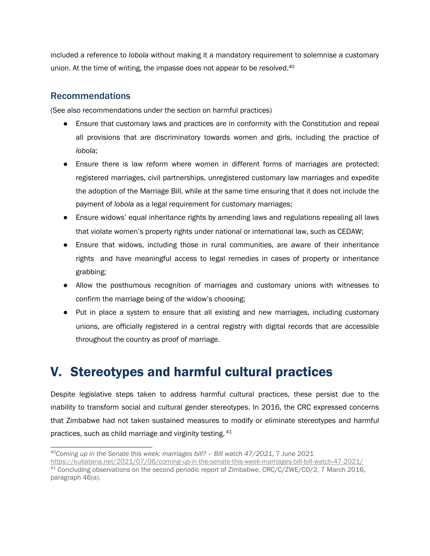<span id="page-14-0"></span>included <sup>a</sup> reference to *lobola* without making it <sup>a</sup> mandatory requirement to solemnise <sup>a</sup> customary union. At the time of writing, the impasse does not appear to be resolved.<sup>40</sup>

### Recommendations

(See also recommendations under the section on harmful practices)

- Ensure that customary laws and practices are in conformity with the Constitution and repeal all provisions that are discriminatory towards women and girls, including the practice of *lobola*;
- Ensure there is law reform where women in different forms of marriages are protected: registered marriages, civil partnerships, unregistered customary law marriages and expedite the adoption of the Marriage Bill, while at the same time ensuring that it does not include the payment of *lobola* as <sup>a</sup> legal requirement for customary marriages;
- Ensure widows' equal inheritance rights by amending laws and regulations repealing all laws that violate women'<sup>s</sup> property rights under national or international law, such as CEDAW;
- Ensure that widows, including those in rural communities, are aware of their inheritance rights and have meaningful access to legal remedies in cases of property or inheritance grabbing;
- Allow the posthumous recognition of marriages and customary unions with witnesses to confirm the marriage being of the widow'<sup>s</sup> choosing;
- Put in place <sup>a</sup> system to ensure that all existing and new marriages, including customary unions, are officially registered in <sup>a</sup> central registry with digital records that are accessible throughout the country as proof of marriage.

# V. Stereotypes and harmful cultural practices

Despite legislative steps taken to address harmful cultural practices, these persist due to the inability to transform social and cultural gender stereotypes. In 2016, the CRC expressed concerns that Zimbabwe had not taken sustained measures to modify or eliminate stereotypes and harmful practices, such as child marriage and virginity testing.  $^\mathrm{41}$ 

<sup>40</sup> *Coming up in the Senate this week: marriages bill? – Bill watch 47/2021,* 7 June 2021

<https://kubatana.net/2021/07/06/coming-up-in-the-senate-this-week-marriages-bill-bill-watch-47-2021/>  $^{44}$  Concluding observations on the second periodic report of Zimbabwe, CRC/C/ZWE/CO/2, 7 March 2016, paragraph 46(a).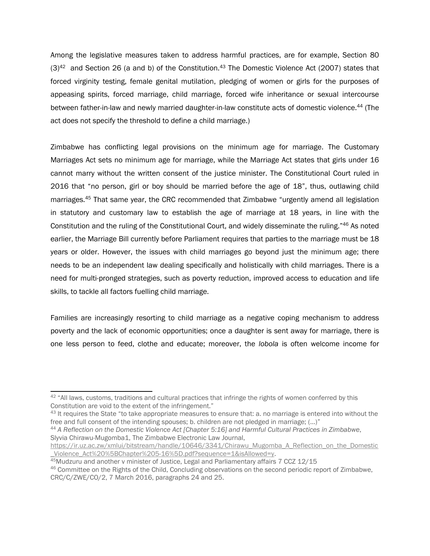Among the legislative measures taken to address harmful practices, are for example, Section 80 (3)<sup>42</sup> and Section 26 (a and b) of the Constitution.<sup>43</sup> The Domestic Violence Act (2007) states that forced virginity testing, female genital mutilation, pledging of women or girls for the purposes of appeasing spirits, forced marriage, child marriage, forced wife inheritance or sexual intercourse between father-in-law and newly married daughter-in-law constitute acts of domestic violence. 44 (The act does not specify the threshold to define <sup>a</sup> child marriage.)

Zimbabwe has conflicting legal provisions on the minimum age for marriage. The Customary Marriages Act sets no minimum age for marriage, while the Marriage Act states that girls under 16 cannot marry without the written consent of the justice minister. The Constitutional Court ruled in 2016 that "no person, girl or boy should be married before the age of 18", thus, outlawing child marriages.<sup>45</sup> That same year, the CRC recommended that Zimbabwe "urgently amend all legislation in statutory and customary law to establish the age of marriage at 18 years, in line with the Constitution and the ruling of the Constitutional Court, and widely disseminate the ruling."<sup>46</sup> As noted earlier, the Marriage Bill currently before Parliament requires that parties to the marriage must be 18 years or older. However, the issues with child marriages go beyond just the minimum age; there needs to be an independent law dealing specifically and holistically with child marriages. There is <sup>a</sup> need for multi-pronged strategies, such as poverty reduction, improved access to education and life skills, to tackle all factors fuelling child marriage.

Families are increasingly resorting to child marriage as <sup>a</sup> negative coping mechanism to address poverty and the lack of economic opportunities; once <sup>a</sup> daughter is sent away for marriage, there is one less person to feed, clothe and educate; moreover, the *lobola* is often welcome income for

 $42$  "All laws, customs, traditions and cultural practices that infringe the rights of women conferred by this Constitution are void to the extent of the infringement."

<sup>&</sup>lt;sup>43</sup> It requires the State "to take appropriate measures to ensure that: a. no marriage is entered into without the free and full consent of the intending spouses; b. children are not pledged in marriage; (…)"

<sup>44</sup> *A Reflection on the Domestic Violence Act [Chapter 5:16] and Harmful Cultural Practices in Zimbabwe*, Slyvia Chirawu-Mugomba1, The Zimbabwe Electronic Law Journal,

[https://ir.uz.ac.zw/xmlui/bitstream/handle/10646/3341/Chirawu\\_Mugomba\\_A\\_Reflection\\_on\\_the\\_Domestic](https://ir.uz.ac.zw/xmlui/bitstream/handle/10646/3341/Chirawu_Mugomba_A_Reflection_on_the_Domestic_Violence_Act%20%5BChapter%205-16%5D.pdf?sequence=1&isAllowed=y) \_[Violence\\_Act%20%5BChapter%205-16%5D.pdf?sequence=1&isAllowed=y](https://ir.uz.ac.zw/xmlui/bitstream/handle/10646/3341/Chirawu_Mugomba_A_Reflection_on_the_Domestic_Violence_Act%20%5BChapter%205-16%5D.pdf?sequence=1&isAllowed=y).

<sup>45</sup>Mudzuru and another <sup>v</sup> minister of Justice, Legal and Parliamentary affairs 7 CCZ 12/15

<sup>&</sup>lt;sup>46</sup> Committee on the Rights of the Child, Concluding observations on the second periodic report of Zimbabwe, CRC/C/ZWE/CO/2, 7 March 2016, paragraphs 24 and 25.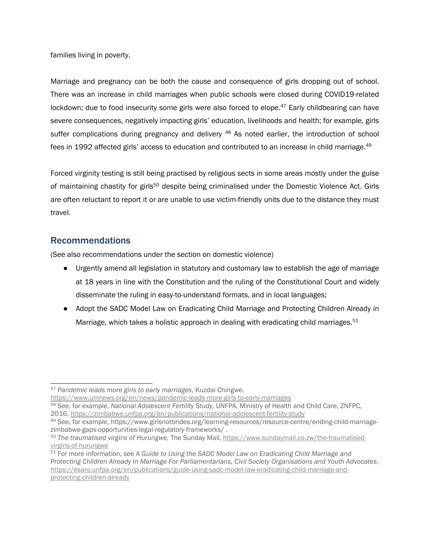<span id="page-16-0"></span>families living in poverty.

Marriage and pregnancy can be both the cause and consequence of girls dropping out of school. There was an increase in child marriages when public schools were closed during COVID19-related lockdown; due to food insecurity some girls were also forced to elope.<sup>47</sup> Early childbearing can have severe consequences, negatively impacting girls' education, livelihoods and health; for example, girls suffer complications during pregnancy and delivery <sup>48</sup> As noted earlier, the introduction of school fees in 1992 affected girls' access to education and contributed to an increase in child marriage. 49

Forced virginity testing is still being practised by religious sects in some areas mostly under the guise of maintaining chastity for girls<sup>50</sup> despite being criminalised under the Domestic Violence Act. Girls are often reluctant to report it or are unable to use victim-friendly units due to the distance they must travel.

### Recommendations

(See also recommendations under the section on domestic violence)

- Urgently amend all legislation in statutory and customary law to establish the age of marriage at 18 years in line with the Constitution and the ruling of the Constitutional Court and widely disseminate the ruling in easy-to-understand formats, and in local languages;
- Adopt the SADC Model Law on Eradicating Child Marriage and Protecting Children Already in Marriage, which takes a holistic approach in dealing with eradicating child marriages. $^{\rm 51}$

<https://www.umnews.org/en/news/pandemic-leads-more-girls-to-early-marriages>

<sup>47</sup> *Pandemic leads more girls to early marriages*, Kuzdai Chingwe,

<sup>48</sup> See, for example, *National Adolescent Fertility Study,* UNFPA, Ministry of Health and Child Care, ZNFPC, 2016, <https://zimbabwe.unfpa.org/en/publications/national-adolescent-fertility-study>

<sup>&</sup>lt;sup>49</sup> See, for example, [https://www.girlsnotbrides.org/learning-resources/resource-centre/ending-child-marriage](https://www.girlsnotbrides.org/learning-resources/resource-centre/ending-child-marriage-zimbabwe-gaps-opportunities-legal-regulatory-frameworks/)[zimbabwe-gaps-opportunities-legal-regulatory-frameworks/](https://www.girlsnotbrides.org/learning-resources/resource-centre/ending-child-marriage-zimbabwe-gaps-opportunities-legal-regulatory-frameworks/) .

<sup>50</sup> *The traumatised virgins of Hurungwe,* The Sunday Mail, [https://www.sundaymail.co.zw/the-traumatised](https://www.sundaymail.co.zw/the-traumatised-virgins-of-hurungwe)[virgins-of-hurungwe](https://www.sundaymail.co.zw/the-traumatised-virgins-of-hurungwe)

<sup>51</sup> For more information, see A *Guide to Using the SADC Model Law on Eradicating Child Marriage and Protecting Children Already in Marriage For Parliamentarians, Civil Society Organisations and Youth Advocates*, [https://esaro.unfpa.org/en/publications/guide-using-sadc-model-law-eradicating-child-marriage-and](https://esaro.unfpa.org/en/publications/guide-using-sadc-model-law-eradicating-child-marriage-and-protecting-children-already)[protecting-children-already](https://esaro.unfpa.org/en/publications/guide-using-sadc-model-law-eradicating-child-marriage-and-protecting-children-already)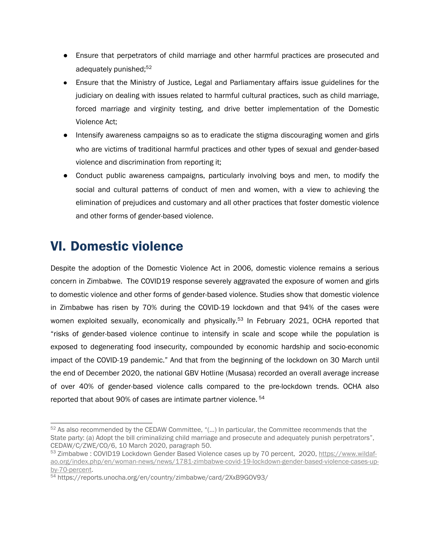- <span id="page-17-0"></span>● Ensure that perpetrators of child marriage and other harmful practices are prosecuted and adequately punished;<sup>52</sup>
- Ensure that the Ministry of Justice, Legal and Parliamentary affairs issue guidelines for the judiciary on dealing with issues related to harmful cultural practices, such as child marriage, forced marriage and virginity testing, and drive better implementation of the Domestic Violence Act;
- Intensify awareness campaigns so as to eradicate the stigma discouraging women and girls who are victims of traditional harmful practices and other types of sexual and gender-based violence and discrimination from reporting it;
- Conduct public awareness campaigns, particularly involving boys and men, to modify the social and cultural patterns of conduct of men and women, with <sup>a</sup> view to achieving the elimination of prejudices and customary and all other practices that foster domestic violence and other forms of gender-based violence.

## VI. Domestic violence

Despite the adoption of the Domestic Violence Act in 2006, domestic violence remains <sup>a</sup> serious concern in Zimbabwe. The COVID19 response severely aggravated the exposure of women and girls to domestic violence and other forms of gender-based violence. Studies show that domestic violence in Zimbabwe has risen by 70% during the COVID-19 lockdown and that 94% of the cases were women exploited sexually, economically and physically.<sup>53</sup> In February 2021, OCHA reported that "risks of gender-based violence continue to intensify in scale and scope while the population is exposed to degenerating food insecurity, compounded by economic hardship and socio-economic impact of the COVID-19 pandemic." And that from the beginning of the lockdown on 30 March until the end of December 2020, the national GBV Hotline (Musasa) recorded an overall average increase of over 40% of gender-based violence calls compared to the pre-lockdown trends. OCHA also reported that about 90% of cases are intimate partner violence. 54

 $52$  As also recommended by the CEDAW Committee, "(...) In particular, the Committee recommends that the State party: (a) Adopt the bill criminalizing child marriage and prosecute and adequately punish perpetrators", CEDAW/C/ZWE/CO/6, 10 March 2020, paragraph 50.

<sup>53</sup> Zimbabwe : COVID19 Lockdown Gender Based Violence cases up by 70 percent, 2020, [https://www.wildaf](https://www.wildaf-ao.org/index.php/en/woman-news/news/1781-zimbabwe-covid-19-lockdown-gender-based-violence-cases-up-by-70-percent)[ao.org/index.php/en/woman-news/news/1781-zimbabwe-covid-19-lockdown-gender-based-violence-cases-up](https://www.wildaf-ao.org/index.php/en/woman-news/news/1781-zimbabwe-covid-19-lockdown-gender-based-violence-cases-up-by-70-percent)[by-70-percent](https://www.wildaf-ao.org/index.php/en/woman-news/news/1781-zimbabwe-covid-19-lockdown-gender-based-violence-cases-up-by-70-percent).

<sup>54</sup> <https://reports.unocha.org/en/country/zimbabwe/card/2XxB9GOV93/>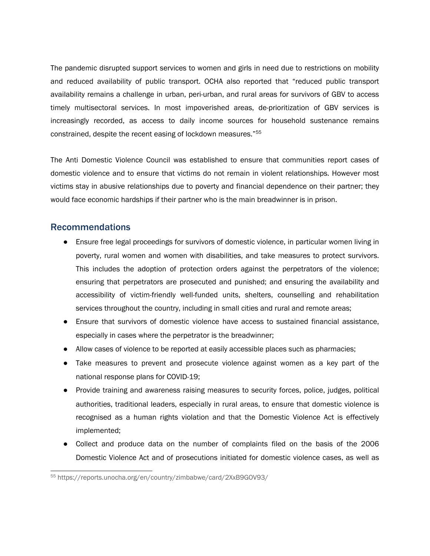<span id="page-18-0"></span>The pandemic disrupted support services to women and girls in need due to restrictions on mobility and reduced availability of public transport. OCHA also reported that "reduced public transport availability remains <sup>a</sup> challenge in urban, peri-urban, and rural areas for survivors of GBV to access timely multisectoral services. In most impoverished areas, de-prioritization of GBV services is increasingly recorded, as access to daily income sources for household sustenance remains constrained, despite the recent easing of lockdown measures." 55

The Anti Domestic Violence Council was established to ensure that communities report cases of domestic violence and to ensure that victims do not remain in violent relationships. However most victims stay in abusive relationships due to poverty and financial dependence on their partner; they would face economic hardships if their partner who is the main breadwinner is in prison.

#### Recommendations

- ● Ensure free legal proceedings for survivors of domestic violence, in particular women living in poverty, rural women and women with disabilities, and take measures to protect survivors. This includes the adoption of protection orders against the perpetrators of the violence; ensuring that perpetrators are prosecuted and punished; and ensuring the availability and accessibility of victim-friendly well-funded units, shelters, counselling and rehabilitation services throughout the country, including in small cities and rural and remote areas;
- Ensure that survivors of domestic violence have access to sustained financial assistance, especially in cases where the perpetrator is the breadwinner;
- Allow cases of violence to be reported at easily accessible places such as pharmacies;
- Take measures to prevent and prosecute violence against women as <sup>a</sup> key part of the national response plans for COVID-19;
- Provide training and awareness raising measures to security forces, police, judges, political authorities, traditional leaders, especially in rural areas, to ensure that domestic violence is recognised as <sup>a</sup> human rights violation and that the Domestic Violence Act is effectively implemented;
- Collect and produce data on the number of complaints filed on the basis of the 2006 Domestic Violence Act and of prosecutions initiated for domestic violence cases, as well as

<sup>55</sup> <https://reports.unocha.org/en/country/zimbabwe/card/2XxB9GOV93/>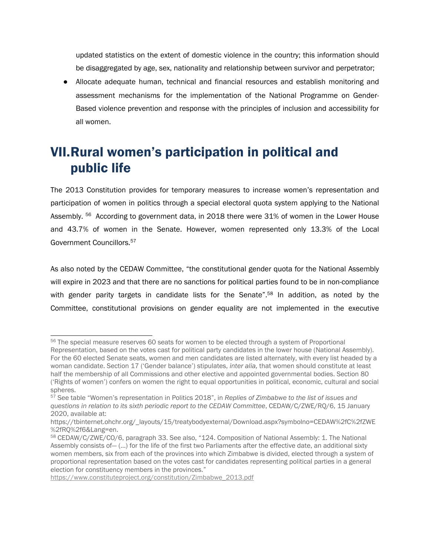<span id="page-19-0"></span>updated statistics on the extent of domestic violence in the country; this information should be disaggregated by age, sex, nationality and relationship between survivor and perpetrator;

● Allocate adequate human, technical and financial resources and establish monitoring and assessment mechanisms for the implementation of the National Programme on Gender-Based violence prevention and response with the principles of inclusion and accessibility for all women.

# VII.Rural women'<sup>s</sup> participation in political and public life

The 2013 Constitution provides for temporary measures to increase women'<sup>s</sup> representation and participation of women in politics through <sup>a</sup> special electoral quota system applying to the National Assembly. <sup>56</sup> According to government data, in 2018 there were 31% of women in the Lower House and 43.7% of women in the Senate. However, women represented only 13.3% of the Local Government Councillors. 57

As also noted by the CEDAW Committee, "the constitutional gender quota for the National Assembly will expire in 2023 and that there are no sanctions for political parties found to be in non-compliance with gender parity targets in candidate lists for the Senate".<sup>58</sup> In addition, as noted by the Committee, constitutional provisions on gender equality are not implemented in the executive

[https://www.constituteproject.org/constitution/Zimbabwe\\_2013.pdf](https://www.constituteproject.org/constitution/Zimbabwe_2013.pdf)

<sup>&</sup>lt;sup>56</sup> The special measure reserves 60 seats for women to be elected through a system of Proportional Representation, based on the votes cast for political party candidates in the lower house (National Assembly). For the 60 elected Senate seats, women and men candidates are listed alternately, with every list headed by <sup>a</sup> woman candidate. Section 17 ('Gender balance') stipulates, *inter alia,* that women should constitute at least half the membership of all Commissions and other elective and appointed governmental bodies. Section 80 ('Rights of women') confers on women the right to equal opportunities in political, economic, cultural and social spheres.

<sup>57</sup> See table "Women'<sup>s</sup> representation in Politics 2018", in *Replies of Zimbabwe to the list of issues and questions in relation to its sixth periodic report to the CEDAW Committee*, CEDAW/C/ZWE/RQ/6, 15 January 2020, available at:

[https://tbinternet.ohchr.org/\\_layouts/15/treatybodyexternal/Download.aspx?symbolno=CEDAW%2fC%2fZWE](https://tbinternet.ohchr.org/_layouts/15/treatybodyexternal/Download.aspx?symbolno=CEDAW%2fC%2fZWE%2fRQ%2f6&Lang=en) [%2fRQ%2f6&Lang=en](https://tbinternet.ohchr.org/_layouts/15/treatybodyexternal/Download.aspx?symbolno=CEDAW%2fC%2fZWE%2fRQ%2f6&Lang=en).

<sup>&</sup>lt;sup>58</sup> CEDAW/C/ZWE/CO/6, paragraph 33. See also, "124. Composition of National Assembly: 1. The National Assembly consists of— (…) for the life of the first two Parliaments after the effective date, an additional sixty women members, six from each of the provinces into which Zimbabwe is divided, elected through <sup>a</sup> system of proportional representation based on the votes cast for candidates representing political parties in <sup>a</sup> general election for constituency members in the provinces."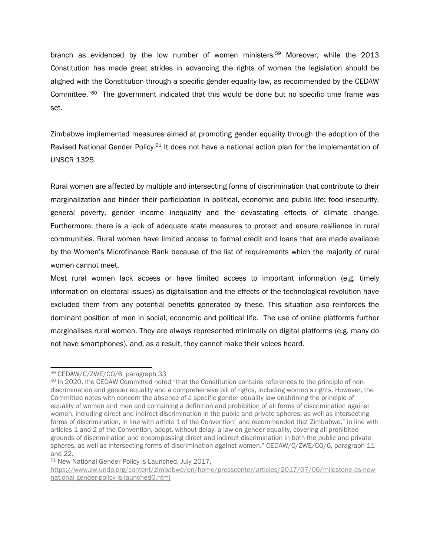branch as evidenced by the low number of women ministers.<sup>59</sup> Moreover, while the 2013 Constitution has made great strides in advancing the rights of women the legislation should be aligned with the Constitution through <sup>a</sup> specific gender equality law, as recommended by the CEDAW Committee."<sup>60</sup> The government indicated that this would be done but no specific time frame was set.

Zimbabwe implemented measures aimed at promoting gender equality through the adoption of the Revised National Gender Policy.<sup>61</sup> It does not have a national action plan for the implementation of UNSCR 1325.

Rural women are affected by multiple and intersecting forms of discrimination that contribute to their marginalization and hinder their participation in political, economic and public life: food insecurity, general poverty, gender income inequality and the devastating effects of climate change. Furthermore, there is <sup>a</sup> lack of adequate state measures to protect and ensure resilience in rural communities. Rural women have limited access to formal credit and loans that are made available by the Women'<sup>s</sup> Microfinance Bank because of the list of requirements which the majority of rural women cannot meet.

Most rural women lack access or have limited access to important information (e.g. timely information on electoral issues) as digitalisation and the effects of the technological revolution have excluded them from any potential benefits generated by these. This situation also reinforces the dominant position of men in social, economic and political life. The use of online platforms further marginalises rural women. They are always represented minimally on digital platforms (e.g. many do not have smartphones), and, as <sup>a</sup> result, they cannot make their voices heard.

<sup>59</sup> CEDAW/C/ZWE/CO/6, paragraph 33

<sup>&</sup>lt;sup>60</sup> In 2020, the CEDAW Committed noted "that the Constitution contains references to the principle of nondiscrimination and gender equality and <sup>a</sup> comprehensive bill of rights, including women'<sup>s</sup> rights. However, the Committee notes with concern the absence of <sup>a</sup> specific gender equality law enshrining the principle of equality of women and men and containing <sup>a</sup> definition and prohibition of all forms of discrimination against women, including direct and indirect discrimination in the public and private spheres, as well as intersecting forms of discrimination, in line with article 1 of the Convention" and recommended that Zimbabwe," in line with articles 1 and 2 of the Convention, adopt, without delay, <sup>a</sup> law on gender equality, covering all prohibited grounds of discrimination and encompassing direct and indirect discrimination in both the public and private spheres, as well as intersecting forms of discrimination against women." CEDAW/C/ZWE/CO/6, paragraph 11 and 22.

<sup>61</sup> New National Gender Policy is Launched, July 2017,

[https://www.zw.undp.org/content/zimbabwe/en/home/presscenter/articles/2017/07/06/milestone-as-new](https://www.zw.undp.org/content/zimbabwe/en/home/presscenter/articles/2017/07/06/milestone-as-new-national-gender-policy-is-launched0.html)[national-gender-policy-is-launched0.html](https://www.zw.undp.org/content/zimbabwe/en/home/presscenter/articles/2017/07/06/milestone-as-new-national-gender-policy-is-launched0.html)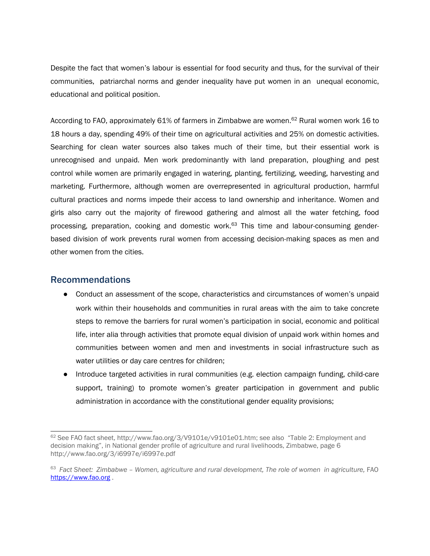<span id="page-21-0"></span>Despite the fact that women'<sup>s</sup> labour is essential for food security and thus, for the survival of their communities, patriarchal norms and gender inequality have put women in an unequal economic, educational and political position.

According to FAO, approximately 61% of farmers in Zimbabwe are women.<sup>62</sup> Rural women work 16 to 18 hours <sup>a</sup> day, spending 49% of their time on agricultural activities and 25% on domestic activities. Searching for clean water sources also takes much of their time, but their essential work is unrecognised and unpaid. Men work predominantly with land preparation, ploughing and pest control while women are primarily engaged in watering, planting, fertilizing, weeding, harvesting and marketing. Furthermore, although women are overrepresented in agricultural production, harmful cultural practices and norms impede their access to land ownership and inheritance. Women and girls also carry out the majority of firewood gathering and almost all the water fetching, food processing, preparation, cooking and domestic work.<sup>63</sup> This time and labour-consuming genderbased division of work prevents rural women from accessing decision-making spaces as men and other women from the cities.

#### Recommendations

- Conduct an assessment of the scope, characteristics and circumstances of women's unpaid work within their households and communities in rural areas with the aim to take concrete steps to remove the barriers for rural women'<sup>s</sup> participation in social, economic and political life, inter alia through activities that promote equal division of unpaid work within homes and communities between women and men and investments in social infrastructure such as water utilities or day care centres for children;
- Introduce targeted activities in rural communities (e.g. election campaign funding, child-care support, training) to promote women'<sup>s</sup> greater participation in government and public administration in accordance with the constitutional gender equality provisions;

 $^{62}$  See FAO fact sheet, <http://www.fao.org/3/V9101e/v9101e01.htm>; see also "Table 2: Employment and decision making", in National gender profile of agriculture and rural livelihoods, Zimbabwe, page 6 <http://www.fao.org/3/i6997e/i6997e.pdf>

<sup>63</sup> *Fact Sheet: Zimbabwe – Women, agriculture and rural development, The role of women in agriculture,* FAO <https://www.fao.org> .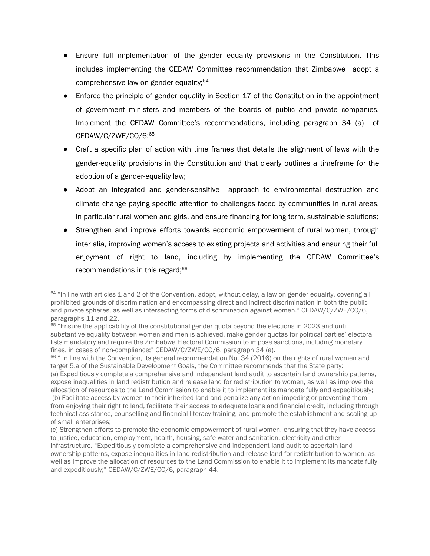- Ensure full implementation of the gender equality provisions in the Constitution. This includes implementing the CEDAW Committee recommendation that Zimbabwe adopt <sup>a</sup> comprehensive law on gender equality; 64
- Enforce the principle of gender equality in Section 17 of the Constitution in the appointment of government ministers and members of the boards of public and private companies. Implement the CEDAW Committee'<sup>s</sup> recommendations, including paragraph 34 (a) of CEDAW/C/ZWE/CO/6; 65
- **●** Craft <sup>a</sup> specific plan of action with time frames that details the alignment of laws with the gender-equality provisions in the Constitution and that clearly outlines <sup>a</sup> timeframe for the adoption of <sup>a</sup> gender-equality law;
- Adopt an integrated and gender-sensitive approach to environmental destruction and climate change paying specific attention to challenges faced by communities in rural areas, in particular rural women and girls, and ensure financing for long term, sustainable solutions;
- Strengthen and improve efforts towards economic empowerment of rural women, through inter alia, improving women'<sup>s</sup> access to existing projects and activities and ensuring their full enjoyment of right to land, including by implementing the CEDAW Committee'<sup>s</sup> recommendations in this regard; 66

<sup>66</sup> " In line with the Convention, its general recommendation No. 34 (2016) on the rights of rural women and target 5.a of the Sustainable Development Goals, the Committee recommends that the State party: (a) Expeditiously complete <sup>a</sup> comprehensive and independent land audit to ascertain land ownership patterns, expose inequalities in land redistribution and release land for redistribution to women, as well as improve the allocation of resources to the Land Commission to enable it to implement its mandate fully and expeditiously; (b) Facilitate access by women to their inherited land and penalize any action impeding or preventing them from enjoying their right to land, facilitate their access to adequate loans and financial credit, including through technical assistance, counselling and financial literacy training, and promote the establishment and scaling-up of small enterprises;

<sup>&</sup>lt;sup>64</sup> "In line with articles 1 and 2 of the Convention, adopt, without delay, a law on gender equality, covering all prohibited grounds of discrimination and encompassing direct and indirect discrimination in both the public and private spheres, as well as intersecting forms of discrimination against women." CEDAW/C/ZWE/CO/6, paragraphs 11 and 22.

<sup>&</sup>lt;sup>65</sup> "Ensure the applicability of the constitutional gender quota beyond the elections in 2023 and until substantive equality between women and men is achieved, make gender quotas for political parties' electoral lists mandatory and require the Zimbabwe Electoral Commission to impose sanctions, including monetary fines, in cases of non-compliance;" CEDAW/C/ZWE/CO/6, paragraph 34 (a).

<sup>(</sup>c) Strengthen efforts to promote the economic empowerment of rural women, ensuring that they have access to justice, education, employment, health, housing, safe water and sanitation, electricity and other infrastructure. "Expeditiously complete <sup>a</sup> comprehensive and independent land audit to ascertain land ownership patterns, expose inequalities in land redistribution and release land for redistribution to women, as well as improve the allocation of resources to the Land Commission to enable it to implement its mandate fully and expeditiously;" CEDAW/C/ZWE/CO/6, paragraph 44.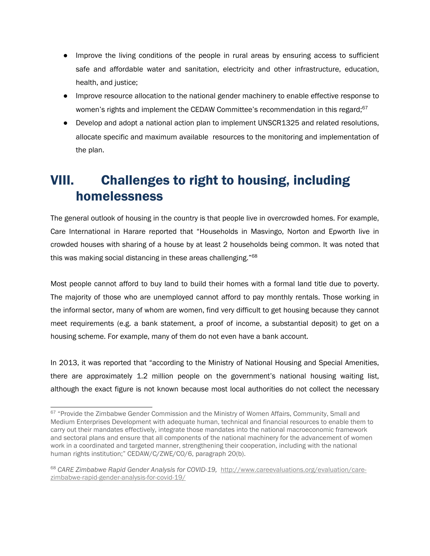- <span id="page-23-0"></span>● Improve the living conditions of the people in rural areas by ensuring access to sufficient safe and affordable water and sanitation, electricity and other infrastructure, education, health, and justice;
- Improve resource allocation to the national gender machinery to enable effective response to women's rights and implement the CEDAW Committee's recommendation in this regard;<sup>67</sup>
- Develop and adopt <sup>a</sup> national action plan to implement UNSCR1325 and related resolutions, allocate specific and maximum available resources to the monitoring and implementation of the plan.

## VIII. Challenges to right to housing, including homelessness

The general outlook of housing in the country is that people live in overcrowded homes. For example, Care International in Harare reported that "Households in Masvingo, Norton and Epworth live in crowded houses with sharing of <sup>a</sup> house by at least 2 households being common. It was noted that this was making social distancing in these areas challenging."<sup>68</sup>

Most people cannot afford to buy land to build their homes with <sup>a</sup> formal land title due to poverty. The majority of those who are unemployed cannot afford to pay monthly rentals. Those working in the informal sector, many of whom are women, find very difficult to get housing because they cannot meet requirements (e.g. <sup>a</sup> bank statement, <sup>a</sup> proof of income, <sup>a</sup> substantial deposit) to get on <sup>a</sup> housing scheme. For example, many of them do not even have <sup>a</sup> bank account.

In 2013, it was reported that "according to the Ministry of National Housing and Special Amenities, there are approximately 1.2 million people on the government'<sup>s</sup> national housing waiting list, although the exact figure is not known because most local authorities do not collect the necessary

<sup>&</sup>lt;sup>67</sup> "Provide the Zimbabwe Gender Commission and the Ministry of Women Affairs, Community, Small and Medium Enterprises Development with adequate human, technical and financial resources to enable them to carry out their mandates effectively, integrate those mandates into the national macroeconomic framework and sectoral plans and ensure that all components of the national machinery for the advancement of women work in <sup>a</sup> coordinated and targeted manner, strengthening their cooperation, including with the national human rights institution;" CEDAW/C/ZWE/CO/6, paragraph 20(b).

<sup>68</sup> *CARE Zimbabwe Rapid Gender Analysis for COVID-19,* [http://www.careevaluations.org/evaluation/care](http://www.careevaluations.org/evaluation/care-zimbabwe-rapid-gender-analysis-for-covid-19/)[zimbabwe-rapid-gender-analysis-for-covid-19/](http://www.careevaluations.org/evaluation/care-zimbabwe-rapid-gender-analysis-for-covid-19/)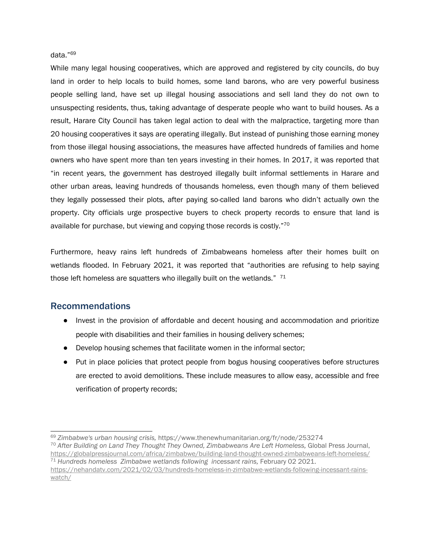#### <span id="page-24-0"></span>data."<sup>69</sup>

While many legal housing cooperatives, which are approved and registered by city councils, do buy land in order to help locals to build homes, some land barons, who are very powerful business people selling land, have set up illegal housing associations and sell land they do not own to unsuspecting residents, thus, taking advantage of desperate people who want to build houses. As <sup>a</sup> result, Harare City Council has taken legal action to deal with the malpractice, targeting more than 20 housing cooperatives it says are operating illegally. But instead of punishing those earning money from those illegal housing associations, the measures have affected hundreds of families and home owners who have spent more than ten years investing in their homes. In 2017, it was reported that "in recent years, the government has destroyed illegally built informal settlements in Harare and other urban areas, leaving hundreds of thousands homeless, even though many of them believed they legally possessed their plots, after paying so-called land barons who didn't actually own the property. City officials urge prospective buyers to check property records to ensure that land is available for purchase, but viewing and copying those records is costly."<sup>70</sup>

Furthermore, heavy rains left hundreds of Zimbabweans homeless after their homes built on wetlands flooded. In February 2021, it was reported that "authorities are refusing to help saying those left homeless are squatters who illegally built on the wetlands." <sup>71</sup>

#### Recommendations

- Invest in the provision of affordable and decent housing and accommodation and prioritize people with disabilities and their families in housing delivery schemes;
- Develop housing schemes that facilitate women in the informal sector;
- Put in place policies that protect people from bogus housing cooperatives before structures are erected to avoid demolitions. These include measures to allow easy, accessible and free verification of property records;

<sup>69</sup> *Zimbabwe's urban housing crisis,* https://www.thenewhumanitarian.org/fr/node/253274 70 *After Building on Land They Thought They Owned, Zimbabweans Are Left Homeless,* Global Press Journal, <https://globalpressjournal.com/africa/zimbabwe/building-land-thought-owned-zimbabweans-left-homeless/> <sup>71</sup> *Hundreds homeless Zimbabwe wetlands following incessant rains,* February 02 2021. [https://nehandatv.com/2021/02/03/hundreds-homeless-in-zimbabwe-wetlands-following-incessant-rains](https://nehandatv.com/2021/02/03/hundreds-homeless-in-zimbabwe-wetlands-following-incessant-rains-watch/)[watch/](https://nehandatv.com/2021/02/03/hundreds-homeless-in-zimbabwe-wetlands-following-incessant-rains-watch/)